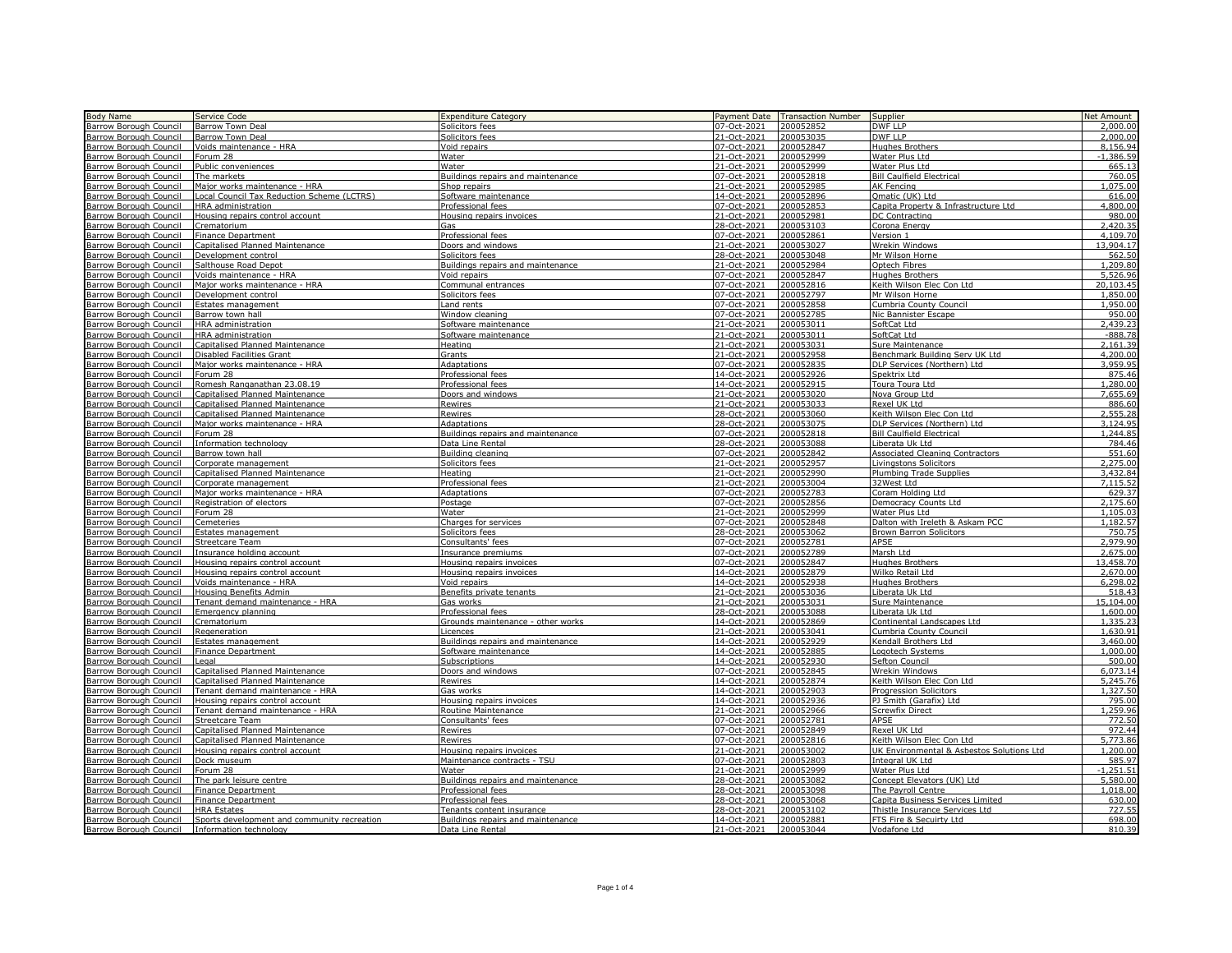| <b>Body Name</b>                                                                               | Service Code                                    | <b>Expenditure Category</b>       | Payment Date | <b>Transaction Number</b> | Supplier                                  | Net Amount  |
|------------------------------------------------------------------------------------------------|-------------------------------------------------|-----------------------------------|--------------|---------------------------|-------------------------------------------|-------------|
| Barrow Borough Council                                                                         | Barrow Town Deal                                | Solicitors fees                   | 07-Oct-2021  | 200052852                 | <b>DWF LLP</b>                            | 2,000.00    |
| Barrow Borough Council                                                                         | <b>Barrow Town Deal</b>                         | Solicitors fees                   | 21-Oct-2021  | 200053035                 | DWF LLP                                   | 2.000.00    |
| <b>Barrow Borough Council</b>                                                                  | Voids maintenance - HRA                         | Void repairs                      | 07-Oct-2021  | 200052847                 | <b>Hughes Brothers</b>                    | 8.156.94    |
| Barrow Borough Council                                                                         | Forum 28                                        | Water                             | 21-Oct-202   | 200052999                 | Water Plus Ltd                            | $-1,386.59$ |
| Barrow Borough Council                                                                         | Public conveniences                             | Water                             | 21-Oct-2021  | 200052999                 | Water Plus Ltd                            | 665.1       |
| Barrow Borough Council                                                                         | The markets                                     | Buildings repairs and maintenance | 07-Oct-2021  | 200052818                 | <b>Bill Caulfield Electrical</b>          | 760.0       |
| Barrow Borough Council                                                                         | Major works maintenance - HRA                   | Shop repairs                      | 21-Oct-2021  | 200052985                 | AK Fencing                                | .075.00     |
| Barrow Borough Council                                                                         | Local Council Tax Reduction Scheme (LCTRS)      |                                   | 14-Oct-2021  | 200052896                 |                                           | 616.00      |
|                                                                                                |                                                 | Software maintenance              |              |                           | Qmatic (UK) Ltd                           | 4,800.00    |
| Barrow Borough Council                                                                         | HRA administration                              | Professional fees                 | 07-Oct-2021  | 200052853                 | Capita Property & Infrastructure Ltd      |             |
| Barrow Borough Council                                                                         | Housing repairs control account                 | Housing repairs invoices          | 21-Oct-2021  | 200052981                 | DC Contracting                            | 980.00      |
| Barrow Borough Council                                                                         | Crematorium                                     | Gas                               | 28-Oct-2021  | 200053103                 | Corona Energy                             | 2,420.35    |
| Barrow Borough Council                                                                         | <b>Finance Department</b>                       | Professional fees                 | 07-Oct-2021  | 200052861                 | Version 1                                 | 4,109.70    |
| <b>Barrow Borough Council</b>                                                                  | <b>Capitalised Planned Maintenance</b>          | Doors and windows                 | 21-Oct-2021  | 200053027                 | <b>Wrekin Windows</b>                     | 13,904.17   |
| Barrow Borough Council                                                                         | Development control                             | Solicitors fees                   | 28-Oct-2021  | 200053048                 | Mr Wilson Horne                           | 562.50      |
| Barrow Borough Council                                                                         | Salthouse Road Depot                            | Buildings repairs and maintenance | 21-Oct-2021  | 200052984                 | Optech Fibres                             | 1,209.80    |
| Barrow Borough Council                                                                         | Voids maintenance - HRA                         | Void repairs                      | 07-Oct-2021  | 200052847                 | <b>Hughes Brothers</b>                    | 5,526.96    |
| Barrow Borough Council                                                                         | Major works maintenance - HRA                   | Communal entrances                | 07-Oct-2021  | 200052816                 | Keith Wilson Elec Con Ltd                 | 20.103.45   |
| Barrow Borough Council                                                                         | Development control                             | Solicitors fees                   | 07-Oct-2021  | 200052797                 | Mr Wilson Horne                           | 1,850.00    |
| Barrow Borough Council                                                                         | Estates management                              | Land rents                        | 07-Oct-2021  | 200052858                 | Cumbria County Council                    | 1,950.00    |
| Barrow Borough Council                                                                         | Barrow town hall                                | Window cleaning                   | 07-Oct-2021  | 200052785                 | Nic Bannister Escape                      | 950.00      |
| Barrow Borough Council                                                                         | HRA administration                              | Software maintenance              | 21-Oct-2021  | 200053011                 | SoftCat Ltd                               | 2.439.23    |
| Barrow Borough Council                                                                         | HRA administration                              | Software maintenance              | 21-Oct-2021  | 200053011                 | SoftCat Ltd                               | $-888.78$   |
| <b>Barrow Borough Council</b>                                                                  | <b>Capitalised Planned Maintenance</b>          | Heating                           | 21-Oct-202   | 20005303                  | Sure Maintenance                          | 2.161.39    |
| Barrow Borough Council                                                                         | Disabled Facilities Grant                       | Grants                            | 21-Oct-2021  | 200052958                 | Benchmark Building Serv UK Ltd            | 4,200.00    |
| Barrow Borough Council                                                                         | Major works maintenance - HRA                   | <b>Adaptations</b>                | 07-Oct-2021  | 200052835                 | DLP Services (Northern) Ltd               | 3.959.95    |
| <b>Barrow Borough Council</b>                                                                  | Forum 28                                        | Professional fees                 | 14-Oct-2021  | 200052926                 | Spektrix Ltd                              | 875.46      |
| Barrow Borough Council                                                                         | Romesh Ranganathan 23.08.19                     | Professional fees                 | 14-Oct-2021  | 200052915                 | Toura Toura Ltd                           | 1,280.0     |
| <b>Barrow Borough Council</b>                                                                  | Capitalised Planned Maintenance                 | Doors and windows                 | 21-Oct-2021  | 200053020                 | Nova Group Ltd                            | 7.655.69    |
| Barrow Borough Council                                                                         | Capitalised Planned Maintenance                 | Rewires                           | 21-Oct-2021  | 200053033                 | Rexel UK Ltd                              | 886.60      |
| <b>Barrow Borough Council</b>                                                                  | Capitalised Planned Maintenance                 | Rewires                           | 28-Oct-2021  | 200053060                 | Keith Wilson Elec Con Ltd                 | 2,555.28    |
| Barrow Borough Council                                                                         | Major works maintenance - HRA                   | Adaptations                       | 28-Oct-2021  | 200053075                 | DLP Services (Northern) Ltd               | 3,124.95    |
| Barrow Borough Council                                                                         | Forum 28                                        | Buildings repairs and maintenance | 07-Oct-2021  | 200052818                 | <b>Bill Caulfield Electrical</b>          | 1,244.85    |
| Barrow Borough Council                                                                         | Information technology                          | Data Line Rental                  | 28-Oct-2021  | 200053088                 | Liberata Uk Ltd                           | 784.46      |
| Barrow Borough Council                                                                         | Barrow town hall                                | Building cleaning                 | 07-Oct-2021  | 200052842                 | <b>Associated Cleaning Contractors</b>    | 551.60      |
| <b>Barrow Borough Council</b>                                                                  | Corporate management                            | Solicitors fees                   | 21-Oct-2021  | 200052957                 |                                           | 2,275.00    |
|                                                                                                | Capitalised Planned Maintenance                 |                                   | 21-Oct-2021  | 200052990                 | Livingstons Solicitors                    | 3,432.84    |
| Barrow Borough Council                                                                         |                                                 | Heating                           |              |                           | Plumbing Trade Supplies                   |             |
| Barrow Borough Council                                                                         | Corporate management                            | Professional fees                 | 21-Oct-2021  | 200053004                 | 32West Ltd                                | 7,115.52    |
| Barrow Borough Council                                                                         | Major works maintenance - HRA                   | <b>Adaptations</b>                | 07-Oct-2021  | 200052783                 | Coram Holding Ltd                         | 629.37      |
| Barrow Borough Council                                                                         | Registration of electors                        | Postage                           | 07-Oct-2021  | 200052856                 | Democracy Counts Ltd                      | 2,175.60    |
| Barrow Borough Council                                                                         | Forum 28                                        | Water                             | 21-Oct-2021  | 200052999                 | Water Plus Ltd                            | 1,105.03    |
| Barrow Borough Council                                                                         | Cemeteries                                      | Charges for services              | 07-Oct-2021  | 200052848                 | Dalton with Ireleth & Askam PCC           | 1.182.57    |
| Barrow Borough Council                                                                         | Estates management                              | Solicitors fees                   | 28-Oct-2021  | 200053062                 | <b>Brown Barron Solicitors</b>            | 750.75      |
| <b>Barrow Borough Council</b>                                                                  | <b>Streetcare Team</b>                          | Consultants' fees                 | 07-Oct-2021  | 200052781                 | <b>APSF</b>                               | 2.979.90    |
| Barrow Borough Council                                                                         | Insurance holding account                       | Insurance premiums                | 07-Oct-2021  | 200052789                 | Marsh Ltd                                 | 2,675.0     |
| <b>Barrow Borough Council</b>                                                                  | Housing repairs control account                 | Housing repairs invoices          | 07-Oct-202   | 200052847                 | <b>Hughes Brothers</b>                    | 13,458.7    |
| <b>Barrow Borough Council</b>                                                                  | Housing repairs control account                 | Housing repairs invoices          | 14-Oct-2021  | 200052879                 | Wilko Retail Ltd                          | 2,670.0     |
| Barrow Borough Council                                                                         | Voids maintenance - HRA                         | Void repairs                      | 14-Oct-202   | 200052938                 | <b>Hughes Brothers</b>                    | 6,298.0     |
| Barrow Borough Council                                                                         | Housing Benefits Admin                          | Benefits private tenants          | 21-Oct-2021  | 200053036                 | Liberata Uk Ltd                           | 518.4       |
| Barrow Borough Council                                                                         | Tenant demand maintenance - HRA                 | Gas works                         | 21-Oct-2021  | 200053031                 | Sure Maintenance                          | 15,104.0    |
| Barrow Borough Council                                                                         | <b>Emergency planning</b>                       | Professional fees                 | 28-Oct-2021  | 200053088                 | Liberata Uk Ltd                           | 1,600.00    |
| Barrow Borough Council                                                                         | Crematorium                                     | Grounds maintenance - other works | 14-Oct-2021  | 200052869                 | Continental Landscapes Ltd                | 1,335.23    |
| Barrow Borough Council                                                                         | Regeneration                                    | Licences                          | 21-Oct-2021  | 200053041                 | Cumbria County Council                    | 1.630.91    |
| Barrow Borough Council                                                                         | Estates management                              | Buildings repairs and maintenance | 14-Oct-2021  | 200052929                 | Kendall Brothers Ltd                      | 3,460.00    |
| Barrow Borough Council                                                                         | <b>Finance Department</b>                       | Software maintenance              | 14-Oct-2021  | 200052885                 | Logotech Systems                          | 1,000.00    |
| Barrow Borough Council                                                                         | Legal                                           | <b>Subscriptions</b>              | 14-Oct-2021  | 200052930                 | Sefton Council                            | 500.00      |
| <b>Barrow Borough Council</b>                                                                  | <b>Capitalised Planned Maintenance</b>          | Doors and windows                 | 07-Oct-2021  | 200052845                 | <b>Wrekin Windows</b>                     | 6,073.14    |
| <b>Barrow Borough Council</b>                                                                  | Capitalised Planned Maintenance                 | Rewires                           | 14-Oct-2021  | 200052874                 | Keith Wilson Elec Con Ltd                 | 5,245.76    |
| Barrow Borough Council                                                                         | Tenant demand maintenance - HRA                 | Gas works                         | 14-Oct-2021  | 200052903                 | <b>Progression Solicitors</b>             | 1,327.50    |
| Barrow Borough Council                                                                         | Housing repairs control account                 | Housing repairs invoices          | 14-Oct-2021  | 200052936                 | PJ Smith (Garafix) Ltd                    | 795.00      |
| Barrow Borough Council                                                                         | Tenant demand maintenance - HRA                 | Routine Maintenance               | 21-Oct-2021  | 200052966                 | <b>Screwfix Direct</b>                    | 1,259.96    |
| Barrow Borough Council                                                                         | <b>Streetcare Team</b>                          | Consultants' fees                 | 07-Oct-2021  | 200052781                 | APSE                                      | 772.50      |
| Barrow Borough Council                                                                         | Capitalised Planned Maintenance                 | Rewires                           | 07-Oct-2021  | 200052849                 | Rexel UK Ltd                              | 972.44      |
| Barrow Borough Council                                                                         | Capitalised Planned Maintenance                 | Rewires                           | 07-Oct-2021  | 200052816                 | Keith Wilson Elec Con Ltd                 | 5.773.86    |
| Barrow Borough Council                                                                         | Housing repairs control account                 | Housing repairs invoices          | 21-Oct-2021  | 200053002                 | UK Environmental & Asbestos Solutions Ltd | 1,200.00    |
| Barrow Borough Council                                                                         | Dock museum                                     | Maintenance contracts - TSU       | 07-Oct-2021  | 200052803                 | Integral UK Ltd                           | 585.97      |
| <b>Barrow Borough Council</b>                                                                  | Forum 28                                        | Water                             | 21-Oct-202   | 200052999                 | Water Plus Ltd                            | $-1.251.51$ |
| <b>Barrow Borough Council</b>                                                                  | The park leisure centre                         | Buildings repairs and maintenance | 28-Oct-2021  | 200053082                 | Concept Elevators (UK) Ltd                | 5,580.0     |
|                                                                                                | <b>Finance Department</b>                       | Professional fees                 | 28-Oct-2021  | 200053098                 | The Payroll Centre                        | 1,018.0     |
| Barrow Borough Council                                                                         |                                                 | Professional fees                 | 28-Oct-2021  | 200053068                 | Capita Business Services Limited          | 630.0       |
| Barrow Borough Council                                                                         | <b>Finance Department</b><br><b>HRA Estates</b> |                                   | 28-Oct-2021  | 200053102                 |                                           | 727.5       |
| Barrow Borough Council                                                                         |                                                 | Tenants content insurance         |              | 200052881                 | Thistle Insurance Services Ltd            | 698.00      |
| Barrow Borough Council Sports development and<br>Barrow Borough Council Information technology | Sports development and community recreation     | Buildings repairs and maintenance | 14-Oct-2021  |                           | FTS Fire & Secuirty Ltd                   |             |
|                                                                                                |                                                 | Data Line Rental                  | 21-Oct-2021  | 200053044                 | Vodafone Ltd                              | 810.39      |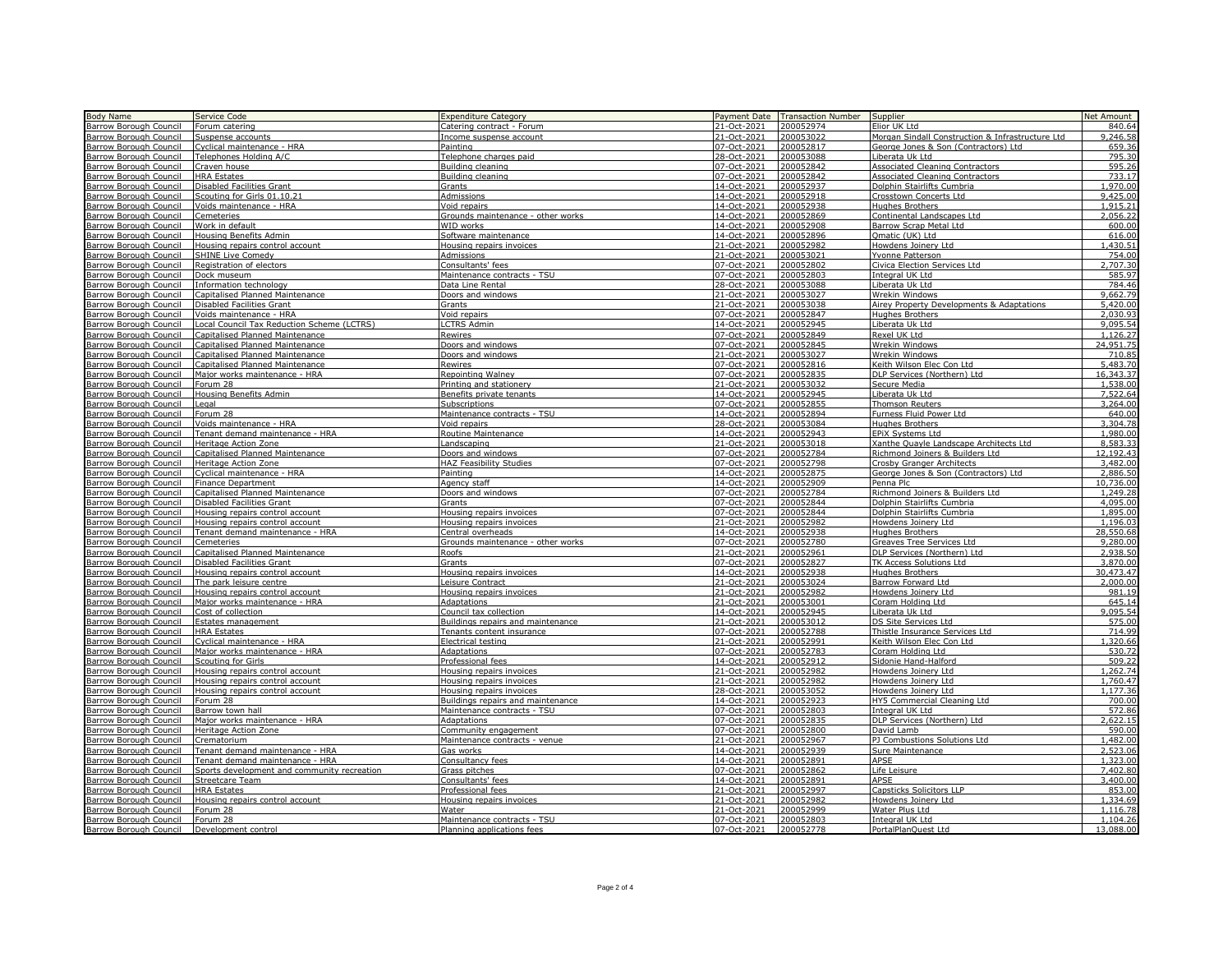| <b>Body Name</b>                                                              | Service Code                                | <b>Expenditure Category</b>       |                   | Payment Date Transaction Number | Supplier                                         | Net Amount |
|-------------------------------------------------------------------------------|---------------------------------------------|-----------------------------------|-------------------|---------------------------------|--------------------------------------------------|------------|
| <b>Barrow Borough Council</b>                                                 | Forum catering                              |                                   | 21-Oct-2021       | 200052974                       | Elior UK Ltd                                     | 840.64     |
|                                                                               |                                             | Catering contract - Forum         |                   |                                 |                                                  |            |
| <b>Barrow Borough Council</b>                                                 | Suspense accounts                           | Income suspense account           | 21-Oct-2021       | 200053022                       | Morgan Sindall Construction & Infrastructure Ltd | 9,246.58   |
| Barrow Borough Council                                                        | Cyclical maintenance - HRA                  | Painting                          | 07-Oct-2021       | 200052817                       | George Jones & Son (Contractors) Ltd             | 659.36     |
| Barrow Borough Council                                                        | Telephones Holding A/C                      | Telephone charges paid            | 28-Oct-2021       | 200053088                       | Liberata Uk Ltd                                  | 795.30     |
| Barrow Borough Council                                                        | Craven house                                | Building cleaning                 | 07-Oct-2021       | 200052842                       | <b>Associated Cleaning Contractors</b>           | 595.26     |
| Barrow Borough Council                                                        | <b>HRA Estates</b>                          | Building cleaning                 | 07-Oct-2021       | 200052842                       | <b>Associated Cleaning Contractors</b>           | 733.17     |
| Barrow Borough Council                                                        | <b>Disabled Facilities Grant</b>            | Grants                            | 14-Oct-2021       | 200052937                       | Dolphin Stairlifts Cumbria                       | 1,970.00   |
|                                                                               |                                             |                                   |                   |                                 |                                                  |            |
| Barrow Borough Council                                                        | Scouting for Girls 01.10.2                  | <b>Admissions</b>                 | 14-Oct-2021       | 200052918                       | Crosstown Concerts Ltd                           | 9,425.00   |
| Barrow Borough Council                                                        | Voids maintenance - HRA                     | Void repairs                      | 14-Oct-2021       | 200052938                       | <b>Hughes Brothers</b>                           | 1,915.21   |
| Barrow Borough Council                                                        | Cemeteries                                  | Grounds maintenance - other works | 14-Oct-2021       | 200052869                       | Continental Landscapes Ltd                       | 2,056.22   |
| Barrow Borough Council                                                        | Work in default                             | WID works                         | 14-Oct-2021       | 200052908                       | Barrow Scrap Metal Ltd                           | 600.00     |
| Barrow Borough Council                                                        | Housing Benefits Admin                      | Software maintenance              | 14-Oct-2021       | 200052896                       | Qmatic (UK) Ltd                                  | 616.00     |
| Barrow Borough Council                                                        | Housing repairs control account             | Housing repairs invoices          | 21-Oct-2021       | 200052982                       | Howdens Joinery Ltd                              | 1,430.51   |
|                                                                               |                                             |                                   |                   |                                 |                                                  |            |
| Barrow Borough Council                                                        | <b>SHINE Live Comedy</b>                    | <b>Admissions</b>                 | 21-Oct-2021       | 200053021                       | Yvonne Patterson                                 | 754.00     |
| Barrow Borough Council                                                        | Registration of electors                    | Consultants' fees                 | 07-Oct-2021       | 200052802                       | Civica Election Services Ltd                     | 2,707.30   |
| Barrow Borough Council                                                        | Dock museum                                 | Maintenance contracts - TSU       | 07-Oct-2021       | 200052803                       | Integral UK Ltd                                  | 585.97     |
| <b>Barrow Borough Council</b>                                                 | Information technology                      | Data Line Rental                  | 28-Oct-2021       | 200053088                       | Liberata Uk Ltd                                  | 784.46     |
| Barrow Borough Council                                                        | Capitalised Planned Maintenance             | Doors and windows                 | 21-Oct-2021       | 200053027                       | Wrekin Windows                                   | 9,662.79   |
| <b>Barrow Borough Council</b>                                                 | <b>Disabled Facilities Grant</b>            | Grants                            | 21-Oct-2021       | 200053038                       | Airey Property Developments & Adaptations        | 5,420.00   |
| Barrow Borough Council                                                        | Voids maintenance - HRA                     | Void repairs                      | 07-Oct-2021       | 200052847                       | <b>Hughes Brothers</b>                           | 2.030.93   |
|                                                                               |                                             |                                   |                   |                                 |                                                  |            |
| <b>Barrow Borough Council</b>                                                 | Local Council Tax Reduction Scheme (LCTRS)  | <b>LCTRS Admin</b>                | 14-Oct-2021       | 200052945                       | Liberata Uk Ltd                                  | 9,095.54   |
| Barrow Borough Council                                                        | Capitalised Planned Maintenance             | Rewires                           | 07-Oct-2021       | 200052849                       | Rexel UK Ltd                                     | 1,126.27   |
| Barrow Borough Council                                                        | Capitalised Planned Maintenance             | Doors and windows                 | 07-Oct-2021       | 200052845                       | Wrekin Windows                                   | 24,951.75  |
| <b>Barrow Borough Council</b>                                                 | <b>Capitalised Planned Maintenance</b>      | Doors and windows                 | 21-Oct-2021       | 200053027                       | Wrekin Windows                                   | 710.85     |
| Barrow Borough Council                                                        | Capitalised Planned Maintenance             | Rewires                           | $07 - Oct - 2021$ | 200052816                       | Keith Wilson Elec Con Ltd                        | 5,483.70   |
| Barrow Borough Council                                                        | Major works maintenance - HRA               | Repointing Walney                 | 07-Oct-2021       | 200052835                       | DLP Services (Northern) Ltd                      | 16.343.3   |
|                                                                               |                                             |                                   |                   |                                 |                                                  | 1,538.00   |
| Barrow Borough Council                                                        | Forum 28                                    | Printing and stationery           | 21-Oct-2021       | 200053032                       | Secure Media                                     |            |
| Barrow Borough Council                                                        | Housing Benefits Admin                      | Benefits private tenants          | 14-Oct-2021       | 200052945                       | Liberata Uk Ltd                                  | 7,522.64   |
| Barrow Borough Council                                                        | Legal                                       | Subscriptions                     | 07-Oct-2021       | 200052855                       | <b>Thomson Reuters</b>                           | 3,264.00   |
| Barrow Borough Council                                                        | Forum 28                                    | Maintenance contracts - TSU       | 14-Oct-2021       | 200052894                       | Furness Fluid Power Ltd                          | 640.00     |
| Barrow Borough Council                                                        | Voids maintenance - HRA                     | Void repairs                      | 28-Oct-2021       | 200053084                       | <b>Hughes Brothers</b>                           | 3,304.78   |
| Barrow Borough Council                                                        | Tenant demand maintenance - HRA             | Routine Maintenance               | 14-Oct-2021       | 200052943                       | EPIX Systems Ltd                                 | 1,980.00   |
|                                                                               |                                             |                                   |                   |                                 |                                                  |            |
| Barrow Borough Council                                                        | Heritage Action Zone                        | Landscaping                       | 21-Oct-2021       | 200053018                       | Xanthe Quayle Landscape Architects Ltd           | 8,583.3    |
| Barrow Borough Council                                                        | <b>Capitalised Planned Maintenance</b>      | Doors and windows                 | 07-Oct-2021       | 200052784                       | Richmond Joiners & Builders Ltd                  | 12,192.43  |
| Barrow Borough Council                                                        | Heritage Action Zone                        | HAZ Feasibility Studies           | 07-Oct-2021       | 200052798                       | Crosby Granger Architects                        | 3,482.00   |
| Barrow Borough Council                                                        | Cyclical maintenance - HRA                  | Painting                          | 14-Oct-2021       | 200052875                       | George Jones & Son (Contractors) Ltd             | 2,886.50   |
| Barrow Borough Council                                                        | Finance Department                          | Agency staff                      | 14-Oct-2021       | 200052909                       | Penna Plc                                        | 10,736.00  |
| Barrow Borough Council                                                        | Capitalised Planned Maintenance             | Doors and windows                 | 07-Oct-2021       | 200052784                       | Richmond Joiners & Builders Ltd                  | 1,249.28   |
|                                                                               |                                             |                                   |                   |                                 |                                                  |            |
| Barrow Borough Council                                                        | Disabled Facilities Grant                   | Grants                            | 07-Oct-2021       | 200052844                       | Dolphin Stairlifts Cumbria                       | 4,095.00   |
| <b>Barrow Borough Council</b>                                                 | Housing repairs control account             | Housing repairs invoices          | 07-Oct-2021       | 200052844                       | Dolphin Stairlifts Cumbria                       | 1,895.00   |
| Barrow Borough Council                                                        | Housing repairs control account             | Housing repairs invoices          | 21-Oct-2021       | 200052982                       | Howdens Joinery Ltd                              | 1,196.03   |
| <b>Barrow Borough Council</b>                                                 | Tenant demand maintenance - HRA             | Central overheads                 | 14-Oct-2021       | 200052938                       | <b>Hughes Brothers</b>                           | 28,550.68  |
| Barrow Borough Council                                                        | Cemeteries                                  | Grounds maintenance - other works | 07-Oct-2021       | 200052780                       | Greaves Tree Services Ltd                        | 9,280.00   |
| <b>Barrow Borough Council</b>                                                 | <b>Capitalised Planned Maintenance</b>      | Roofs                             | 21-Oct-2021       | 200052961                       | DLP Services (Northern) Ltd                      | 2,938.50   |
|                                                                               |                                             |                                   |                   |                                 |                                                  |            |
| Barrow Borough Council                                                        | Disabled Facilities Grant                   | Grants                            | 07-Oct-2021       | 200052827                       | TK Access Solutions Ltd                          | 3,870.00   |
| Barrow Borough Council                                                        | Housing repairs control account             | Housing repairs invoices          | 14-Oct-2021       | 200052938                       | <b>Hughes Brothers</b>                           | 30,473.47  |
| Barrow Borough Council                                                        | The park leisure centre                     | Leisure Contract                  | 21-Oct-2021       | 200053024                       | <b>Barrow Forward Ltd</b>                        | 2,000.00   |
| Barrow Borough Council                                                        | Housing repairs control account             | Housing repairs invoices          | 21-Oct-2021       | 200052982                       | Howdens Joinery Ltd                              | 981.19     |
| Barrow Borough Council                                                        | Major works maintenance - HRA               | <b>Adaptations</b>                | 21-Oct-2021       | 200053001                       | Coram Holding Ltd                                | 645.14     |
|                                                                               | Cost of collection                          | Council tax collection            | 14-Oct-2021       | 200052945                       | Liberata Uk Ltd                                  | 9,095.54   |
| Barrow Borough Council                                                        |                                             |                                   |                   |                                 |                                                  | 575.00     |
| Barrow Borough Council                                                        | Estates management                          | Buildings repairs and maintenance | 21-Oct-2021       | 200053012                       | DS Site Services Ltd                             |            |
| <b>Barrow Borough Council</b>                                                 | <b>HRA Estates</b>                          | Tenants content insurance         | 07-Oct-2021       | 200052788                       | Thistle Insurance Services Ltd                   | 714.99     |
| Barrow Borough Council                                                        | Cyclical maintenance - HRA                  | Electrical testing                | 21-Oct-2021       | 200052991                       | Keith Wilson Elec Con Ltd                        | .320.66    |
| Barrow Borough Council                                                        | Major works maintenance - HRA               | <b>Adaptations</b>                | $07 - Oct - 2021$ | 200052783                       | Coram Holding Ltd                                | 530.72     |
| Barrow Borough Council                                                        | Scouting for Girls                          | Professional fees                 | 14-Oct-2021       | 200052912                       | Sidonie Hand-Halford                             | 509.22     |
| Barrow Borough Council                                                        | Housing repairs control account             | Housing repairs invoices          | 21-Oct-2021       | 200052982                       | Howdens Joinery Ltd                              | 1,262.74   |
| Barrow Borough Council                                                        | Housing repairs control account             | Housing repairs invoices          | 21-Oct-2021       | 200052982                       | Howdens Joinery Ltd                              | 1,760.47   |
|                                                                               |                                             |                                   |                   |                                 |                                                  |            |
| Barrow Borough Council                                                        | Housing repairs control account             | Housing repairs invoices          | 28-Oct-2021       | 200053052                       | Howdens Joinery Ltd                              | 1,177.36   |
| Barrow Borough Council                                                        | Forum 28                                    | Buildings repairs and maintenance | 14-Oct-2021       | 200052923                       | HY5 Commercial Cleaning Ltd                      | 700.00     |
| Barrow Borough Council                                                        | Barrow town hall                            | Maintenance contracts - TSU       | 07-Oct-2021       | 200052803                       | Integral UK Ltd                                  | 572.86     |
| Barrow Borough Council                                                        | Major works maintenance - HRA               | Adaptations                       | 07-Oct-2021       | 200052835                       | DLP Services (Northern) Ltd                      | 2,622.15   |
| Barrow Borough Council                                                        | Heritage Action Zone                        | Community engagement              | 07-Oct-2021       | 200052800                       | David Lamb                                       | 590.00     |
| Barrow Borough Council                                                        | Crematorium                                 | Maintenance contracts - venue     | 21-Oct-2021       | 200052967                       | PJ Combustions Solutions Ltd                     | 1,482.00   |
|                                                                               |                                             |                                   |                   |                                 |                                                  |            |
| <b>Barrow Borough Council</b>                                                 | Tenant demand maintenance - HRA             | Gas works                         | 14-Oct-2021       | 200052939                       | Sure Maintenance                                 | 2,523.06   |
| Barrow Borough Council                                                        | Tenant demand maintenance - HRA             | Consultancy fees                  | 14-Oct-2021       | 200052891                       | APSE                                             | 1,323.00   |
| <b>Barrow Borough Council</b>                                                 | Sports development and community recreation | Grass pitches                     | 07-Oct-2021       | 200052862                       | Life Leisure                                     | 7,402.80   |
| <b>Barrow Borough Council</b>                                                 | <b>Streetcare Team</b>                      | Consultants' fees                 | 14-Oct-2021       | 200052891                       | APSE                                             | 3,400.00   |
| Barrow Borough Council                                                        | <b>HRA Estates</b>                          | Professional fees                 | 21-Oct-2021       | 200052997                       | Capsticks Solicitors LLP                         | 853.00     |
| <b>Barrow Borough Council</b>                                                 | Housing repairs control account             | Housing repairs invoices          | 21-Oct-2021       | 200052982                       | Howdens Joinery Ltd                              | 1,334.69   |
|                                                                               |                                             |                                   |                   |                                 |                                                  |            |
| Barrow Borough Council                                                        | Forum 28                                    | Water                             | 21-Oct-2021       | 200052999                       | Water Plus Ltd                                   | 1,116.78   |
| Barrow Borough Council Forum 28<br>Barrow Borough Council Development control |                                             | Maintenance contracts - TSU       | 07-Oct-2021       | 200052803                       | Integral UK Ltd                                  | 1,104.26   |
|                                                                               |                                             | Planning applications fees        | 07-Oct-2021       | 200052778                       | PortalPlanOuest Ltd                              | 13.088.00  |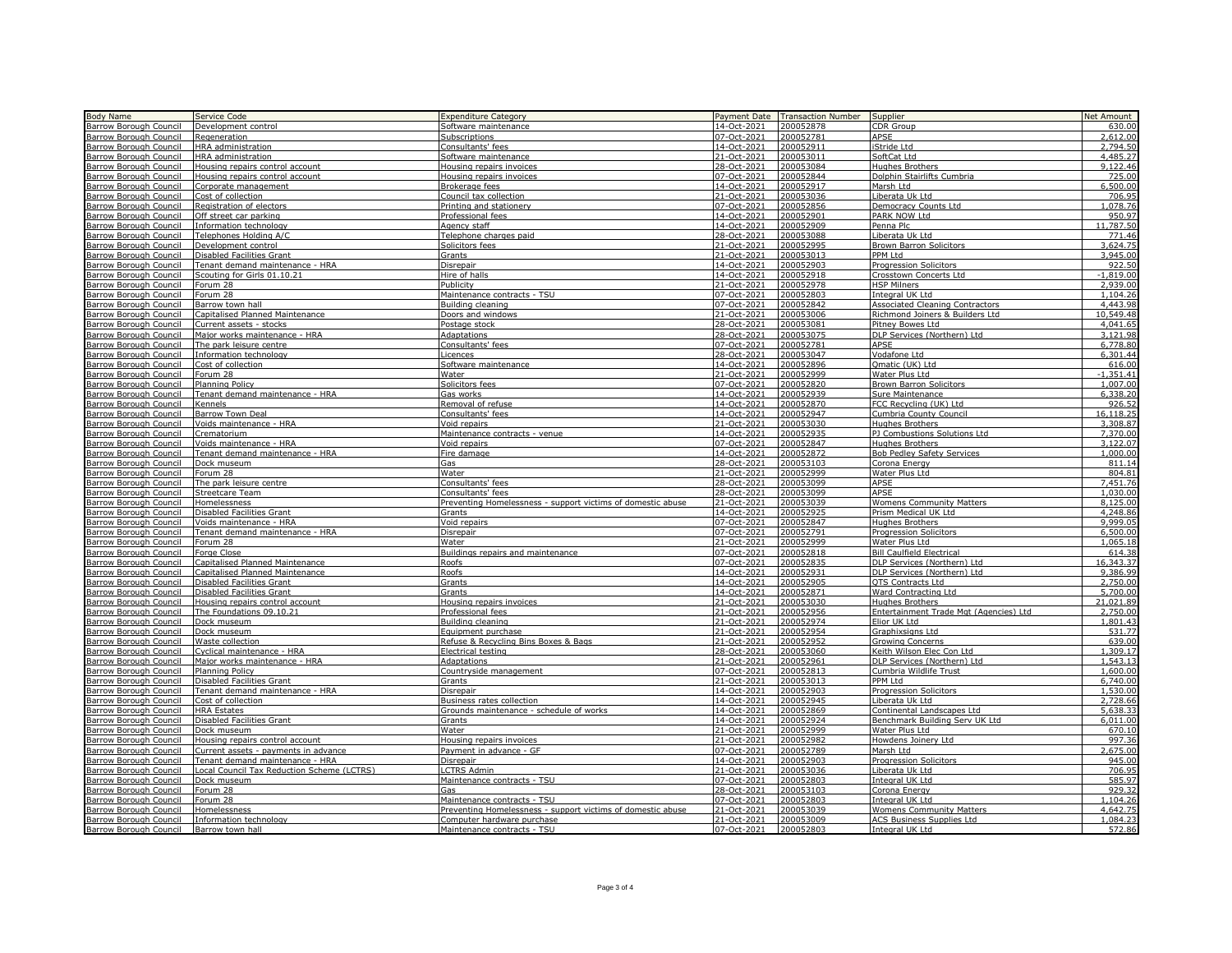| <b>Body Name</b>                        | Service Code                               | <b>Expenditure Category</b>                                 | Payment Date | <b>Transaction Number</b> | Supplier                               | <b>Net Amount</b> |
|-----------------------------------------|--------------------------------------------|-------------------------------------------------------------|--------------|---------------------------|----------------------------------------|-------------------|
| <b>Barrow Borough Council</b>           | Development control                        | Software maintenance                                        | 14-Oct-2021  | 200052878                 | CDR Group                              | 630.0             |
|                                         |                                            |                                                             | 07-Oct-2021  | 200052781                 | APSE                                   | 2.612.0           |
| <b>Barrow Borough Council</b>           | Regeneration                               | Subscriptions                                               |              |                           |                                        |                   |
| <b>Barrow Borough Council</b>           | HRA administration                         | Consultants' fees                                           | 14-Oct-2021  | 200052911                 | iStride Ltd                            | 2,794.5           |
| Barrow Borough Council                  | HRA administration                         | Software maintenance                                        | 21-Oct-202   | 200053011                 | SoftCat Ltd                            | 4,485.27          |
| Barrow Borough Council                  | Housing repairs control account            | Housing repairs invoices                                    | 28-Oct-2021  | 200053084                 | <b>Hughes Brothers</b>                 | 9.122.46          |
| Barrow Borough Council                  | Housing repairs control account            | Housing repairs invoices                                    | 07-Oct-2021  | 200052844                 | Dolphin Stairlifts Cumbria             | 725.00            |
| Barrow Borough Council                  | Corporate management                       | Brokerage fees                                              | 14-Oct-2021  | 200052917                 | Marsh Ltd                              | 6,500.00          |
| Barrow Borough Council                  | Cost of collection                         | Council tax collection                                      | 21-Oct-2021  | 200053036                 | Liberata Uk Ltd                        | 706.95            |
| Barrow Borough Council                  | Registration of electors                   | Printing and stationery                                     | 07-Oct-2021  | 200052856                 | Democracy Counts Ltd                   | ,078.76           |
| Barrow Borough Council                  | Off street car parking                     | Professional fees                                           | 14-Oct-2021  | 200052901                 | PARK NOW Ltd                           | 950.97            |
| <b>Barrow Borough Council</b>           | Information technology                     | Agency staff                                                | 14-Oct-2021  | 200052909                 | Penna Plc                              | 11,787.50         |
| Barrow Borough Council                  | Telephones Holding A/C                     | Telephone charges paid                                      | 28-Oct-2021  | 200053088                 | Liberata Uk Ltd                        | 771.46            |
|                                         |                                            |                                                             |              |                           |                                        | 3,624.75          |
| Barrow Borough Council                  | Development control                        | Solicitors fees                                             | 21-Oct-2021  | 200052995                 | <b>Brown Barron Solicitors</b>         |                   |
| Barrow Borough Council                  | Disabled Facilities Grant                  | Grants                                                      | 21-Oct-2021  | 200053013                 | PPM Ltd                                | 3,945.00          |
| Barrow Borough Council                  | Tenant demand maintenance - HRA            | Disrepair                                                   | 14-Oct-2021  | 200052903                 | <b>Progression Solicitors</b>          | 922.50            |
| Barrow Borough Council                  | Scouting for Girls 01.10.21                | Hire of halls                                               | 14-Oct-2021  | 200052918                 | Crosstown Concerts Ltd                 | $-1.819.00$       |
| <b>Barrow Borough Council</b>           | Forum 28                                   | Publicity                                                   | 21-Oct-2021  | 200052978                 | <b>HSP Milners</b>                     | 2.939.00          |
| Barrow Borough Council                  | Forum 28                                   | Maintenance contracts - TSU                                 | 07-Oct-2021  | 200052803                 | Integral UK Ltd                        | 1.104.26          |
| Barrow Borough Council                  | Barrow town hall                           | Building cleaning                                           | 07-Oct-2021  | 200052842                 | Associated Cleaning Contractors        | 4,443.98          |
| Barrow Borough Council                  | Capitalised Planned Maintenance            | Doors and windows                                           | 21-Oct-2021  | 200053006                 | Richmond Joiners & Builders Ltd        | 10.549.48         |
| <b>Barrow Borough Council</b>           | Current assets - stocks                    | Postage stock                                               | 28-Oct-202   | 200053081                 | Pitney Bowes Ltd                       | 4,041.65          |
| Barrow Borough Council                  | Major works maintenance - HRA              | Adaptations                                                 | 28-Oct-202   | 200053075                 | DLP Services (Northern) Ltd            | 3,121.98          |
| Barrow Borough Council                  | The park leisure centre                    | Consultants' fees                                           | 07-Oct-2021  | 200052781                 | <b>APSE</b>                            | 6,778.8           |
| <b>Barrow Borough Council</b>           | Information technology                     | Licences                                                    | 28-Oct-2021  | 200053047                 | Vodafone Ltd                           | 6,301.44          |
| Barrow Borough Council                  | Cost of collection                         | Software maintenance                                        | 14-Oct-202   | 200052896                 | Omatic (UK) Ltd                        | 616.00            |
| <b>Barrow Borough Council</b>           | Forum 28                                   | Water                                                       | 21-Oct-2021  | 200052999                 | Water Plus Ltd                         | $-1.351.4$        |
| Barrow Borough Council                  | Planning Policy                            | Solicitors fees                                             | 07-Oct-2021  | 200052820                 | <b>Brown Barron Solicitors</b>         | 1,007.0           |
| Barrow Borough Council                  | Tenant demand maintenance - HRA            | Gas works                                                   | 14-Oct-2021  | 200052939                 | Sure Maintenance                       | 6,338.2           |
|                                         |                                            |                                                             |              |                           |                                        |                   |
| Barrow Borough Council                  | Kennels                                    | Removal of refuse                                           | 14-Oct-2021  | 200052870                 | FCC Recycling (UK) Ltd                 | 926.5             |
| Barrow Borough Council                  | <b>Barrow Town Deal</b>                    | Consultants' fees                                           | 14-Oct-2021  | 200052947                 | Cumbria County Council                 | 16,118.2          |
| <b>Barrow Borough Council</b>           | Voids maintenance - HRA                    | Void repairs                                                | 21-Oct-2021  | 200053030                 | <b>Hughes Brothers</b>                 | 3,308.8           |
| Barrow Borough Council                  | Crematorium                                | Maintenance contracts - venue                               | 14-Oct-2021  | 200052935                 | PJ Combustions Solutions Ltd           | 7,370.0           |
| Barrow Borough Council                  | Voids maintenance - HRA                    | Void repairs                                                | 07-Oct-2021  | 200052847                 | <b>Hughes Brothers</b>                 | 3,122.0           |
| Barrow Borough Council                  | Tenant demand maintenance - HRA            | Fire damage                                                 | 14-Oct-2021  | 200052872                 | <b>Bob Pedley Safety Services</b>      | 1,000.00          |
| Barrow Borough Council                  | Dock museum                                | Gas                                                         | 28-Oct-2021  | 200053103                 | Corona Energy                          | 811.1             |
| Barrow Borough Council                  | Forum 28                                   | Water                                                       | 21-Oct-2021  | 200052999                 | Water Plus Ltd                         | 804.8             |
| Barrow Borough Council                  | The park leisure centre                    | Consultants' fees                                           | 28-Oct-2021  | 200053099                 | APSE                                   | 7.451.76          |
| Barrow Borough Council                  | Streetcare Team                            | Consultants' fees                                           | 28-Oct-2021  | 200053099                 | <b>APSE</b>                            | 1.030.00          |
| Barrow Borough Council                  | Homelessness                               | Preventing Homelessness - support victims of domestic abuse | 21-Oct-2021  | 200053039                 | <b>Womens Community Matters</b>        | 8,125.00          |
| Barrow Borough Council                  | <b>Disabled Facilities Grant</b>           | Grants                                                      | 14-Oct-2021  | 200052925                 | Prism Medical UK Ltd                   | 4.248.86          |
| Barrow Borough Council                  | Voids maintenance - HRA                    | Void repairs                                                | 07-Oct-2021  | 200052847                 | <b>Hughes Brothers</b>                 | 9.999.05          |
| Barrow Borough Council                  | Tenant demand maintenance - HRA            | Disrepair                                                   | 07-Oct-2021  | 200052791                 | <b>Progression Solicitors</b>          | 6,500.00          |
| Barrow Borough Council                  | Forum 28                                   | Water                                                       | 21-Oct-2021  | 200052999                 | Water Plus Ltd                         | 1.065.18          |
| <b>Barrow Borough Council</b>           | Forge Close                                | Buildings repairs and maintenance                           | 07-Oct-2021  | 200052818                 | <b>Bill Caulfield Electrical</b>       | 614.38            |
| Barrow Borough Council                  | Capitalised Planned Maintenance            | Roofs                                                       | 07-Oct-2021  | 200052835                 | DLP Services (Northern) Ltd            | 16,343.3          |
| Barrow Borough Council                  | Capitalised Planned Maintenance            | Roofs                                                       | 14-Oct-202   | 200052931                 | DLP Services (Northern) Ltd            | 9.386.99          |
|                                         | Disabled Facilities Grant                  |                                                             | 14-Oct-2021  | 200052905                 |                                        | 2,750.0           |
| Barrow Borough Council                  |                                            | Grants                                                      |              |                           | <b>QTS</b> Contracts Ltd               |                   |
| Barrow Borough Council                  | Disabled Facilities Grant                  | <b>Grants</b>                                               | 14-Oct-2021  | 200052871                 | Ward Contracting Ltd                   | 5,700.00          |
| Barrow Borough Council                  | Housing repairs control account            | Housing repairs invoices                                    | 21-Oct-2021  | 200053030                 | Hughes Brothers                        | 21,021.89         |
| Barrow Borough Council                  | The Foundations 09.10.21                   | Professional fees                                           | 21-Oct-2021  | 200052956                 | Entertainment Trade Mgt (Agencies) Ltd | 2,750.00          |
| Barrow Borough Council                  | Dock museum                                | Building cleaning                                           | 21-Oct-2021  | 200052974                 | Elior UK Ltd                           | 1,801.43          |
| <b>Barrow Borough Council</b>           | Dock museum                                | Equipment purchase                                          | 21-Oct-2021  | 200052954                 | Graphixsigns Ltd                       | 531.77            |
| Barrow Borough Council                  | Waste collection                           | Refuse & Recycling Bins Boxes & Bags                        | 21-Oct-2021  | 200052952                 | Growing Concerns                       | 639.00            |
| Barrow Borough Council                  | Cyclical maintenance - HRA                 | Electrical testing                                          | 28-Oct-2021  | 200053060                 | Keith Wilson Elec Con Ltd              | 1,309.17          |
| Barrow Borough Council                  | Major works maintenance - HRA              | <b>Adaptations</b>                                          | 21-Oct-2021  | 200052961                 | DLP Services (Northern) Ltd            | 1,543.13          |
| <b>Barrow Borough Council</b>           | Planning Policy                            | Countryside management                                      | 07-Oct-2021  | 200052813                 | Cumbria Wildlife Trust                 | 1,600.00          |
| Barrow Borough Council                  | <b>Disabled Facilities Grant</b>           | Grants                                                      | 21-Oct-2021  | 200053013                 | PPM Ltd                                | 6,740.00          |
| Barrow Borough Council                  | Tenant demand maintenance - HRA            | Disrepair                                                   | 14-Oct-2021  | 200052903                 | <b>Progression Solicitors</b>          | 1,530.00          |
| Barrow Borough Council                  | Cost of collection                         | Business rates collection                                   | 14-Oct-2021  | 200052945                 | Liberata Uk Ltd                        | 2,728.66          |
| Barrow Borough Council                  | <b>HRA Estates</b>                         | Grounds maintenance - schedule of works                     | 14-Oct-2021  | 200052869                 | Continental Landscapes Ltd             | 5.638.33          |
| Barrow Borough Council                  | Disabled Facilities Grant                  | Grants                                                      | 14-Oct-2021  | 200052924                 | Benchmark Building Serv UK Ltd         | 6.011.00          |
| <b>Barrow Borough Council</b>           | Dock museum                                | Water                                                       | 21-Oct-2021  | 200052999                 | Water Plus Ltd                         | 670.10            |
| Barrow Borough Council                  | Housing repairs control account            | Housing repairs invoices                                    | 21-Oct-2021  | 200052982                 | Howdens Joinery Ltd                    | 997.36            |
| Barrow Borough Council                  | Current assets - payments in advance       | Payment in advance - GF                                     | 07-Oct-2021  | 200052789                 | Marsh Ltd                              | 2,675.00          |
| Barrow Borough Council                  | Tenant demand maintenance - HRA            | Disrepair                                                   | 14-Oct-2021  | 200052903                 | <b>Progression Solicitors</b>          | 945.00            |
| <b>Barrow Borough Council</b>           | Local Council Tax Reduction Scheme (LCTRS) | <b>LCTRS Admin</b>                                          | 21-Oct-202   | 200053036                 | Liberata Uk Ltd                        | 706.95            |
|                                         | Dock museum                                | Maintenance contracts - TSU                                 | 07-Oct-2021  | 200052803                 | Integral UK Ltd                        | 585.97            |
| Barrow Borough Council                  |                                            |                                                             |              |                           |                                        |                   |
| Barrow Borough Council                  | Forum 28                                   | Gas                                                         | 28-Oct-2021  | 200053103                 | Corona Energy                          | 929.3             |
| Barrow Borough Council                  | Forum 28                                   | Maintenance contracts - TSU                                 | 07-Oct-2021  | 200052803                 | Integral UK Ltd                        | 1,104.26          |
| Barrow Borough Council                  | Homelessness                               | Preventing Homelessness - support victims of domestic abuse | 21-Oct-2021  | 200053039                 | <b>Womens Community Matters</b>        | 4,642.75          |
| Barrow Borough Council                  | Information technology                     | Computer hardware purchase                                  | 21-Oct-2021  | 200053009                 | <b>ACS Business Supplies Ltd</b>       | 1,084.23          |
| Barrow Borough Council Barrow town hall |                                            | Maintenance contracts - TSU                                 | 07-Oct-2021  | 200052803                 | Integral UK Ltd                        | 572.86            |